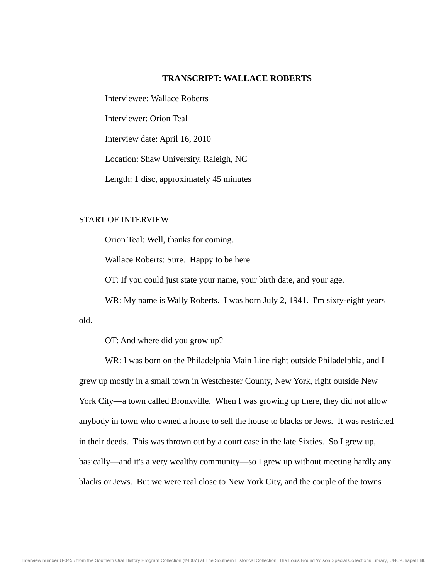# **TRANSCRIPT: WALLACE ROBERTS**

Interviewee: Wallace Roberts

Interviewer: Orion Teal

Interview date: April 16, 2010

Location: Shaw University, Raleigh, NC

Length: 1 disc, approximately 45 minutes

# START OF INTERVIEW

Orion Teal: Well, thanks for coming.

Wallace Roberts: Sure. Happy to be here.

OT: If you could just state your name, your birth date, and your age.

WR: My name is Wally Roberts. I was born July 2, 1941. I'm sixty-eight years

old.

OT: And where did you grow up?

 WR: I was born on the Philadelphia Main Line right outside Philadelphia, and I grew up mostly in a small town in Westchester County, New York, right outside New York City—a town called Bronxville. When I was growing up there, they did not allow anybody in town who owned a house to sell the house to blacks or Jews. It was restricted in their deeds. This was thrown out by a court case in the late Sixties. So I grew up, basically—and it's a very wealthy community—so I grew up without meeting hardly any blacks or Jews. But we were real close to New York City, and the couple of the towns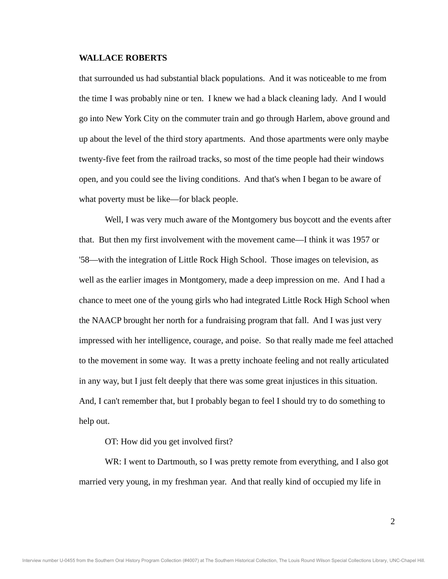that surrounded us had substantial black populations. And it was noticeable to me from the time I was probably nine or ten. I knew we had a black cleaning lady. And I would go into New York City on the commuter train and go through Harlem, above ground and up about the level of the third story apartments. And those apartments were only maybe twenty-five feet from the railroad tracks, so most of the time people had their windows open, and you could see the living conditions. And that's when I began to be aware of what poverty must be like—for black people.

 Well, I was very much aware of the Montgomery bus boycott and the events after that. But then my first involvement with the movement came—I think it was 1957 or '58—with the integration of Little Rock High School. Those images on television, as well as the earlier images in Montgomery, made a deep impression on me. And I had a chance to meet one of the young girls who had integrated Little Rock High School when the NAACP brought her north for a fundraising program that fall. And I was just very impressed with her intelligence, courage, and poise. So that really made me feel attached to the movement in some way. It was a pretty inchoate feeling and not really articulated in any way, but I just felt deeply that there was some great injustices in this situation. And, I can't remember that, but I probably began to feel I should try to do something to help out.

OT: How did you get involved first?

WR: I went to Dartmouth, so I was pretty remote from everything, and I also got married very young, in my freshman year. And that really kind of occupied my life in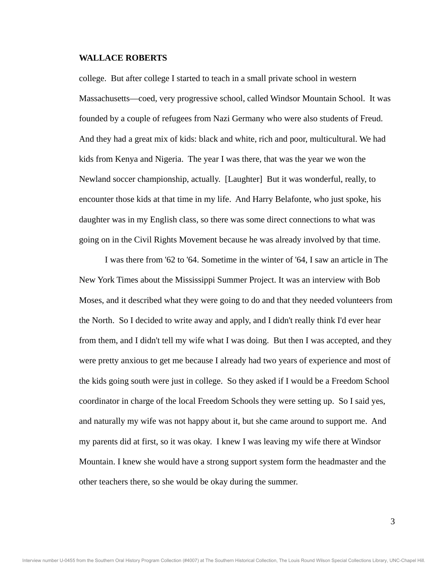college. But after college I started to teach in a small private school in western Massachusetts—coed, very progressive school, called Windsor Mountain School. It was founded by a couple of refugees from Nazi Germany who were also students of Freud. And they had a great mix of kids: black and white, rich and poor, multicultural. We had kids from Kenya and Nigeria. The year I was there, that was the year we won the Newland soccer championship, actually. [Laughter] But it was wonderful, really, to encounter those kids at that time in my life. And Harry Belafonte, who just spoke, his daughter was in my English class, so there was some direct connections to what was going on in the Civil Rights Movement because he was already involved by that time.

 I was there from '62 to '64. Sometime in the winter of '64, I saw an article in The New York Times about the Mississippi Summer Project. It was an interview with Bob Moses, and it described what they were going to do and that they needed volunteers from the North. So I decided to write away and apply, and I didn't really think I'd ever hear from them, and I didn't tell my wife what I was doing. But then I was accepted, and they were pretty anxious to get me because I already had two years of experience and most of the kids going south were just in college. So they asked if I would be a Freedom School coordinator in charge of the local Freedom Schools they were setting up. So I said yes, and naturally my wife was not happy about it, but she came around to support me. And my parents did at first, so it was okay. I knew I was leaving my wife there at Windsor Mountain. I knew she would have a strong support system form the headmaster and the other teachers there, so she would be okay during the summer.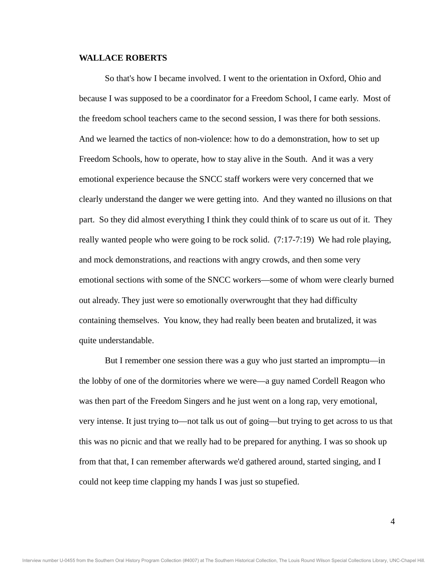So that's how I became involved. I went to the orientation in Oxford, Ohio and because I was supposed to be a coordinator for a Freedom School, I came early. Most of the freedom school teachers came to the second session, I was there for both sessions. And we learned the tactics of non-violence: how to do a demonstration, how to set up Freedom Schools, how to operate, how to stay alive in the South. And it was a very emotional experience because the SNCC staff workers were very concerned that we clearly understand the danger we were getting into. And they wanted no illusions on that part. So they did almost everything I think they could think of to scare us out of it. They really wanted people who were going to be rock solid. (7:17-7:19) We had role playing, and mock demonstrations, and reactions with angry crowds, and then some very emotional sections with some of the SNCC workers—some of whom were clearly burned out already. They just were so emotionally overwrought that they had difficulty containing themselves. You know, they had really been beaten and brutalized, it was quite understandable.

 But I remember one session there was a guy who just started an impromptu—in the lobby of one of the dormitories where we were—a guy named Cordell Reagon who was then part of the Freedom Singers and he just went on a long rap, very emotional, very intense. It just trying to—not talk us out of going—but trying to get across to us that this was no picnic and that we really had to be prepared for anything. I was so shook up from that that, I can remember afterwards we'd gathered around, started singing, and I could not keep time clapping my hands I was just so stupefied.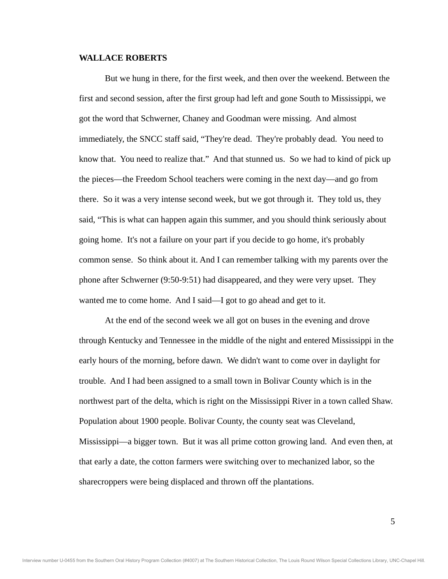But we hung in there, for the first week, and then over the weekend. Between the first and second session, after the first group had left and gone South to Mississippi, we got the word that Schwerner, Chaney and Goodman were missing. And almost immediately, the SNCC staff said, "They're dead. They're probably dead. You need to know that. You need to realize that." And that stunned us. So we had to kind of pick up the pieces—the Freedom School teachers were coming in the next day—and go from there. So it was a very intense second week, but we got through it. They told us, they said, "This is what can happen again this summer, and you should think seriously about going home. It's not a failure on your part if you decide to go home, it's probably common sense. So think about it. And I can remember talking with my parents over the phone after Schwerner (9:50-9:51) had disappeared, and they were very upset. They wanted me to come home. And I said—I got to go ahead and get to it.

 At the end of the second week we all got on buses in the evening and drove through Kentucky and Tennessee in the middle of the night and entered Mississippi in the early hours of the morning, before dawn. We didn't want to come over in daylight for trouble. And I had been assigned to a small town in Bolivar County which is in the northwest part of the delta, which is right on the Mississippi River in a town called Shaw. Population about 1900 people. Bolivar County, the county seat was Cleveland, Mississippi—a bigger town. But it was all prime cotton growing land. And even then, at that early a date, the cotton farmers were switching over to mechanized labor, so the sharecroppers were being displaced and thrown off the plantations.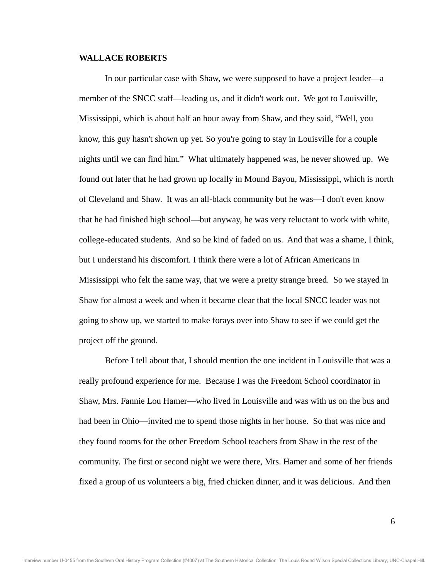In our particular case with Shaw, we were supposed to have a project leader—a member of the SNCC staff—leading us, and it didn't work out. We got to Louisville, Mississippi, which is about half an hour away from Shaw, and they said, "Well, you know, this guy hasn't shown up yet. So you're going to stay in Louisville for a couple nights until we can find him." What ultimately happened was, he never showed up. We found out later that he had grown up locally in Mound Bayou, Mississippi, which is north of Cleveland and Shaw. It was an all-black community but he was—I don't even know that he had finished high school—but anyway, he was very reluctant to work with white, college-educated students. And so he kind of faded on us. And that was a shame, I think, but I understand his discomfort. I think there were a lot of African Americans in Mississippi who felt the same way, that we were a pretty strange breed. So we stayed in Shaw for almost a week and when it became clear that the local SNCC leader was not going to show up, we started to make forays over into Shaw to see if we could get the project off the ground.

 Before I tell about that, I should mention the one incident in Louisville that was a really profound experience for me. Because I was the Freedom School coordinator in Shaw, Mrs. Fannie Lou Hamer—who lived in Louisville and was with us on the bus and had been in Ohio—invited me to spend those nights in her house. So that was nice and they found rooms for the other Freedom School teachers from Shaw in the rest of the community. The first or second night we were there, Mrs. Hamer and some of her friends fixed a group of us volunteers a big, fried chicken dinner, and it was delicious. And then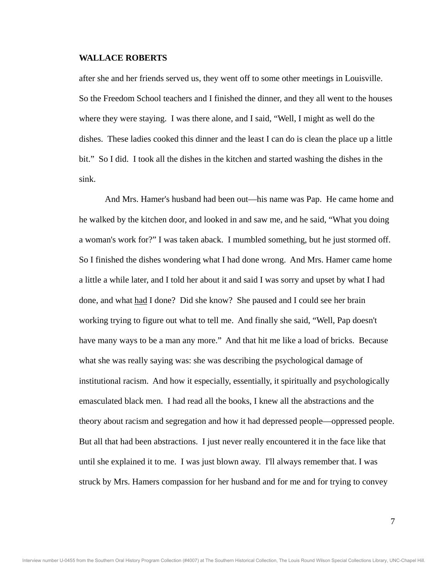after she and her friends served us, they went off to some other meetings in Louisville. So the Freedom School teachers and I finished the dinner, and they all went to the houses where they were staying. I was there alone, and I said, "Well, I might as well do the dishes. These ladies cooked this dinner and the least I can do is clean the place up a little bit." So I did. I took all the dishes in the kitchen and started washing the dishes in the sink.

 And Mrs. Hamer's husband had been out—his name was Pap. He came home and he walked by the kitchen door, and looked in and saw me, and he said, "What you doing a woman's work for?" I was taken aback. I mumbled something, but he just stormed off. So I finished the dishes wondering what I had done wrong. And Mrs. Hamer came home a little a while later, and I told her about it and said I was sorry and upset by what I had done, and what had I done? Did she know? She paused and I could see her brain working trying to figure out what to tell me. And finally she said, "Well, Pap doesn't have many ways to be a man any more." And that hit me like a load of bricks. Because what she was really saying was: she was describing the psychological damage of institutional racism. And how it especially, essentially, it spiritually and psychologically emasculated black men. I had read all the books, I knew all the abstractions and the theory about racism and segregation and how it had depressed people—oppressed people. But all that had been abstractions. I just never really encountered it in the face like that until she explained it to me. I was just blown away. I'll always remember that. I was struck by Mrs. Hamers compassion for her husband and for me and for trying to convey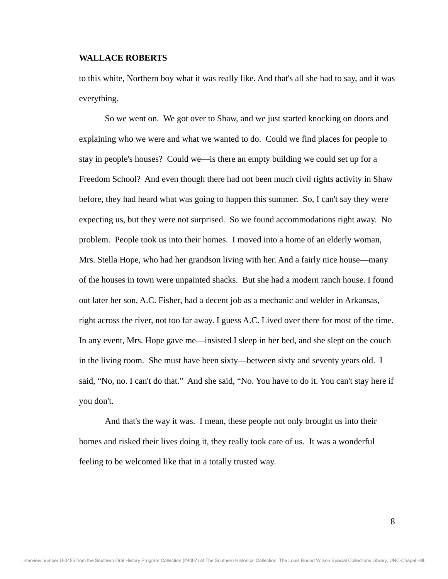to this white, Northern boy what it was really like. And that's all she had to say, and it was everything.

 So we went on. We got over to Shaw, and we just started knocking on doors and explaining who we were and what we wanted to do. Could we find places for people to stay in people's houses? Could we—is there an empty building we could set up for a Freedom School? And even though there had not been much civil rights activity in Shaw before, they had heard what was going to happen this summer. So, I can't say they were expecting us, but they were not surprised. So we found accommodations right away. No problem. People took us into their homes. I moved into a home of an elderly woman, Mrs. Stella Hope, who had her grandson living with her. And a fairly nice house—many of the houses in town were unpainted shacks. But she had a modern ranch house. I found out later her son, A.C. Fisher, had a decent job as a mechanic and welder in Arkansas, right across the river, not too far away. I guess A.C. Lived over there for most of the time. In any event, Mrs. Hope gave me—insisted I sleep in her bed, and she slept on the couch in the living room. She must have been sixty—between sixty and seventy years old. I said, "No, no. I can't do that." And she said, "No. You have to do it. You can't stay here if you don't.

 And that's the way it was. I mean, these people not only brought us into their homes and risked their lives doing it, they really took care of us. It was a wonderful feeling to be welcomed like that in a totally trusted way.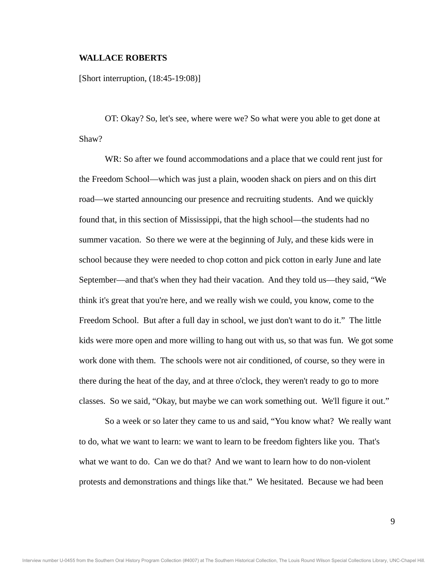[Short interruption, (18:45-19:08)]

 OT: Okay? So, let's see, where were we? So what were you able to get done at Shaw?

WR: So after we found accommodations and a place that we could rent just for the Freedom School—which was just a plain, wooden shack on piers and on this dirt road—we started announcing our presence and recruiting students. And we quickly found that, in this section of Mississippi, that the high school—the students had no summer vacation. So there we were at the beginning of July, and these kids were in school because they were needed to chop cotton and pick cotton in early June and late September—and that's when they had their vacation. And they told us—they said, "We think it's great that you're here, and we really wish we could, you know, come to the Freedom School. But after a full day in school, we just don't want to do it." The little kids were more open and more willing to hang out with us, so that was fun. We got some work done with them. The schools were not air conditioned, of course, so they were in there during the heat of the day, and at three o'clock, they weren't ready to go to more classes. So we said, "Okay, but maybe we can work something out. We'll figure it out."

 So a week or so later they came to us and said, "You know what? We really want to do, what we want to learn: we want to learn to be freedom fighters like you. That's what we want to do. Can we do that? And we want to learn how to do non-violent protests and demonstrations and things like that." We hesitated. Because we had been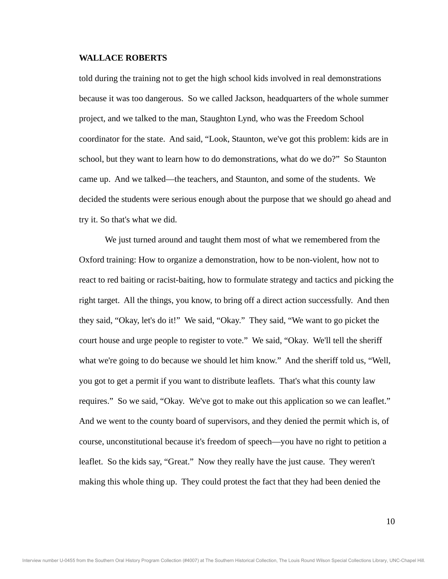told during the training not to get the high school kids involved in real demonstrations because it was too dangerous. So we called Jackson, headquarters of the whole summer project, and we talked to the man, Staughton Lynd, who was the Freedom School coordinator for the state. And said, "Look, Staunton, we've got this problem: kids are in school, but they want to learn how to do demonstrations, what do we do?" So Staunton came up. And we talked—the teachers, and Staunton, and some of the students. We decided the students were serious enough about the purpose that we should go ahead and try it. So that's what we did.

 We just turned around and taught them most of what we remembered from the Oxford training: How to organize a demonstration, how to be non-violent, how not to react to red baiting or racist-baiting, how to formulate strategy and tactics and picking the right target. All the things, you know, to bring off a direct action successfully. And then they said, "Okay, let's do it!" We said, "Okay." They said, "We want to go picket the court house and urge people to register to vote." We said, "Okay. We'll tell the sheriff what we're going to do because we should let him know." And the sheriff told us, "Well, you got to get a permit if you want to distribute leaflets. That's what this county law requires." So we said, "Okay. We've got to make out this application so we can leaflet." And we went to the county board of supervisors, and they denied the permit which is, of course, unconstitutional because it's freedom of speech—you have no right to petition a leaflet. So the kids say, "Great." Now they really have the just cause. They weren't making this whole thing up. They could protest the fact that they had been denied the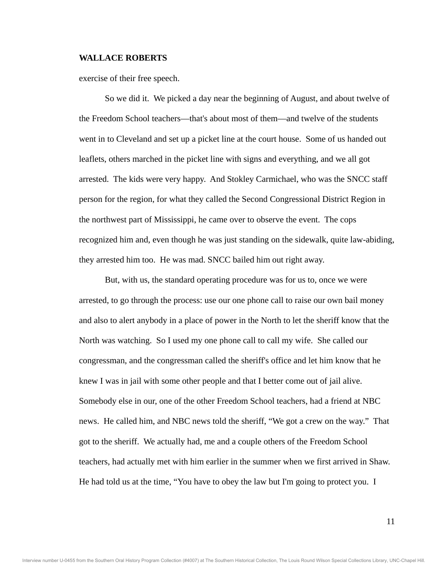exercise of their free speech.

 So we did it. We picked a day near the beginning of August, and about twelve of the Freedom School teachers—that's about most of them—and twelve of the students went in to Cleveland and set up a picket line at the court house. Some of us handed out leaflets, others marched in the picket line with signs and everything, and we all got arrested. The kids were very happy. And Stokley Carmichael, who was the SNCC staff person for the region, for what they called the Second Congressional District Region in the northwest part of Mississippi, he came over to observe the event. The cops recognized him and, even though he was just standing on the sidewalk, quite law-abiding, they arrested him too. He was mad. SNCC bailed him out right away.

 But, with us, the standard operating procedure was for us to, once we were arrested, to go through the process: use our one phone call to raise our own bail money and also to alert anybody in a place of power in the North to let the sheriff know that the North was watching. So I used my one phone call to call my wife. She called our congressman, and the congressman called the sheriff's office and let him know that he knew I was in jail with some other people and that I better come out of jail alive. Somebody else in our, one of the other Freedom School teachers, had a friend at NBC news. He called him, and NBC news told the sheriff, "We got a crew on the way." That got to the sheriff. We actually had, me and a couple others of the Freedom School teachers, had actually met with him earlier in the summer when we first arrived in Shaw. He had told us at the time, "You have to obey the law but I'm going to protect you. I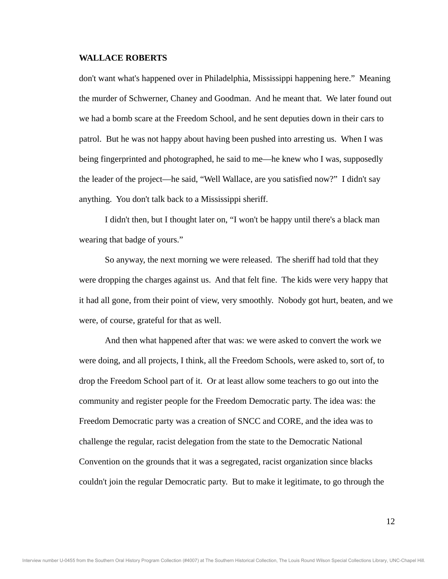don't want what's happened over in Philadelphia, Mississippi happening here." Meaning the murder of Schwerner, Chaney and Goodman. And he meant that. We later found out we had a bomb scare at the Freedom School, and he sent deputies down in their cars to patrol. But he was not happy about having been pushed into arresting us. When I was being fingerprinted and photographed, he said to me—he knew who I was, supposedly the leader of the project—he said, "Well Wallace, are you satisfied now?" I didn't say anything. You don't talk back to a Mississippi sheriff.

 I didn't then, but I thought later on, "I won't be happy until there's a black man wearing that badge of yours."

 So anyway, the next morning we were released. The sheriff had told that they were dropping the charges against us. And that felt fine. The kids were very happy that it had all gone, from their point of view, very smoothly. Nobody got hurt, beaten, and we were, of course, grateful for that as well.

 And then what happened after that was: we were asked to convert the work we were doing, and all projects, I think, all the Freedom Schools, were asked to, sort of, to drop the Freedom School part of it. Or at least allow some teachers to go out into the community and register people for the Freedom Democratic party. The idea was: the Freedom Democratic party was a creation of SNCC and CORE, and the idea was to challenge the regular, racist delegation from the state to the Democratic National Convention on the grounds that it was a segregated, racist organization since blacks couldn't join the regular Democratic party. But to make it legitimate, to go through the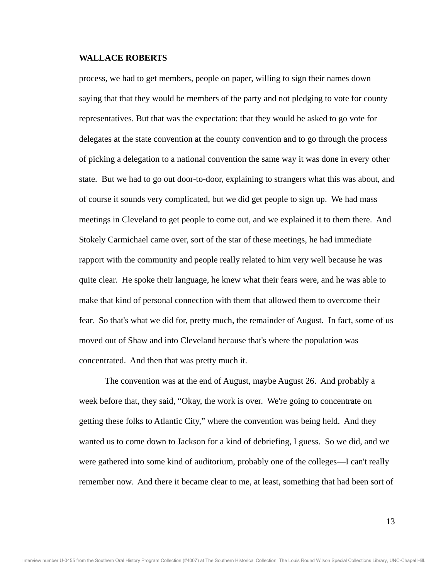process, we had to get members, people on paper, willing to sign their names down saying that that they would be members of the party and not pledging to vote for county representatives. But that was the expectation: that they would be asked to go vote for delegates at the state convention at the county convention and to go through the process of picking a delegation to a national convention the same way it was done in every other state. But we had to go out door-to-door, explaining to strangers what this was about, and of course it sounds very complicated, but we did get people to sign up. We had mass meetings in Cleveland to get people to come out, and we explained it to them there. And Stokely Carmichael came over, sort of the star of these meetings, he had immediate rapport with the community and people really related to him very well because he was quite clear. He spoke their language, he knew what their fears were, and he was able to make that kind of personal connection with them that allowed them to overcome their fear. So that's what we did for, pretty much, the remainder of August. In fact, some of us moved out of Shaw and into Cleveland because that's where the population was concentrated. And then that was pretty much it.

 The convention was at the end of August, maybe August 26. And probably a week before that, they said, "Okay, the work is over. We're going to concentrate on getting these folks to Atlantic City," where the convention was being held. And they wanted us to come down to Jackson for a kind of debriefing, I guess. So we did, and we were gathered into some kind of auditorium, probably one of the colleges—I can't really remember now. And there it became clear to me, at least, something that had been sort of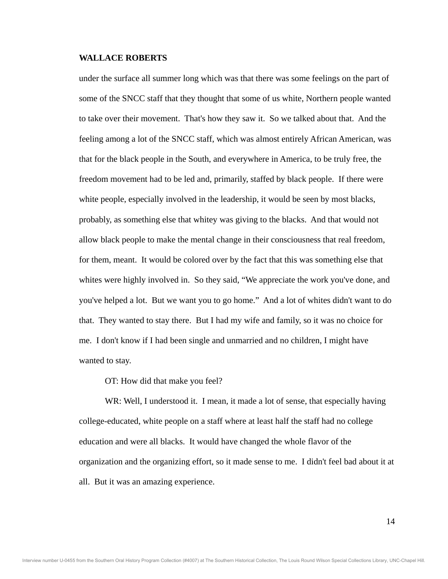under the surface all summer long which was that there was some feelings on the part of some of the SNCC staff that they thought that some of us white, Northern people wanted to take over their movement. That's how they saw it. So we talked about that. And the feeling among a lot of the SNCC staff, which was almost entirely African American, was that for the black people in the South, and everywhere in America, to be truly free, the freedom movement had to be led and, primarily, staffed by black people. If there were white people, especially involved in the leadership, it would be seen by most blacks, probably, as something else that whitey was giving to the blacks. And that would not allow black people to make the mental change in their consciousness that real freedom, for them, meant. It would be colored over by the fact that this was something else that whites were highly involved in. So they said, "We appreciate the work you've done, and you've helped a lot. But we want you to go home." And a lot of whites didn't want to do that. They wanted to stay there. But I had my wife and family, so it was no choice for me. I don't know if I had been single and unmarried and no children, I might have wanted to stay.

OT: How did that make you feel?

WR: Well, I understood it. I mean, it made a lot of sense, that especially having college-educated, white people on a staff where at least half the staff had no college education and were all blacks. It would have changed the whole flavor of the organization and the organizing effort, so it made sense to me. I didn't feel bad about it at all. But it was an amazing experience.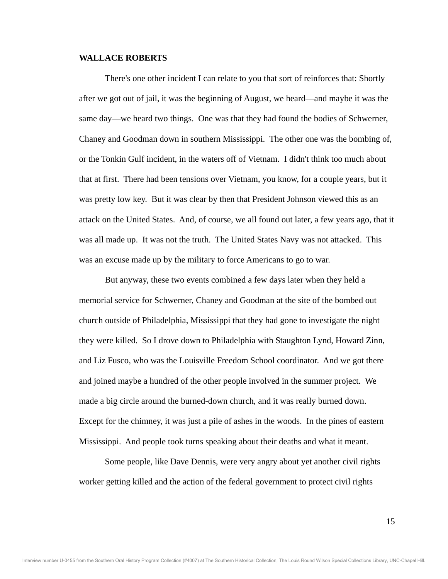There's one other incident I can relate to you that sort of reinforces that: Shortly after we got out of jail, it was the beginning of August, we heard—and maybe it was the same day—we heard two things. One was that they had found the bodies of Schwerner, Chaney and Goodman down in southern Mississippi. The other one was the bombing of, or the Tonkin Gulf incident, in the waters off of Vietnam. I didn't think too much about that at first. There had been tensions over Vietnam, you know, for a couple years, but it was pretty low key. But it was clear by then that President Johnson viewed this as an attack on the United States. And, of course, we all found out later, a few years ago, that it was all made up. It was not the truth. The United States Navy was not attacked. This was an excuse made up by the military to force Americans to go to war.

 But anyway, these two events combined a few days later when they held a memorial service for Schwerner, Chaney and Goodman at the site of the bombed out church outside of Philadelphia, Mississippi that they had gone to investigate the night they were killed. So I drove down to Philadelphia with Staughton Lynd, Howard Zinn, and Liz Fusco, who was the Louisville Freedom School coordinator. And we got there and joined maybe a hundred of the other people involved in the summer project. We made a big circle around the burned-down church, and it was really burned down. Except for the chimney, it was just a pile of ashes in the woods. In the pines of eastern Mississippi. And people took turns speaking about their deaths and what it meant.

 Some people, like Dave Dennis, were very angry about yet another civil rights worker getting killed and the action of the federal government to protect civil rights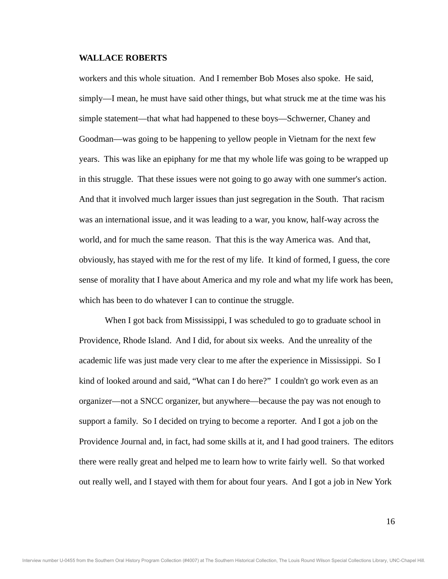workers and this whole situation. And I remember Bob Moses also spoke. He said, simply—I mean, he must have said other things, but what struck me at the time was his simple statement—that what had happened to these boys—Schwerner, Chaney and Goodman—was going to be happening to yellow people in Vietnam for the next few years. This was like an epiphany for me that my whole life was going to be wrapped up in this struggle. That these issues were not going to go away with one summer's action. And that it involved much larger issues than just segregation in the South. That racism was an international issue, and it was leading to a war, you know, half-way across the world, and for much the same reason. That this is the way America was. And that, obviously, has stayed with me for the rest of my life. It kind of formed, I guess, the core sense of morality that I have about America and my role and what my life work has been, which has been to do whatever I can to continue the struggle.

 When I got back from Mississippi, I was scheduled to go to graduate school in Providence, Rhode Island. And I did, for about six weeks. And the unreality of the academic life was just made very clear to me after the experience in Mississippi. So I kind of looked around and said, "What can I do here?" I couldn't go work even as an organizer—not a SNCC organizer, but anywhere—because the pay was not enough to support a family. So I decided on trying to become a reporter. And I got a job on the Providence Journal and, in fact, had some skills at it, and I had good trainers. The editors there were really great and helped me to learn how to write fairly well. So that worked out really well, and I stayed with them for about four years. And I got a job in New York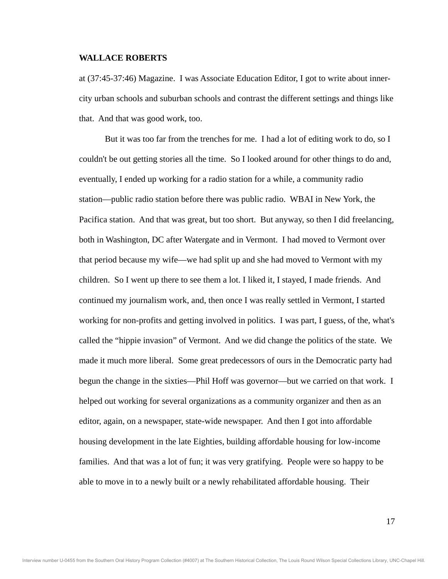at (37:45-37:46) Magazine. I was Associate Education Editor, I got to write about innercity urban schools and suburban schools and contrast the different settings and things like that. And that was good work, too.

 But it was too far from the trenches for me. I had a lot of editing work to do, so I couldn't be out getting stories all the time. So I looked around for other things to do and, eventually, I ended up working for a radio station for a while, a community radio station—public radio station before there was public radio. WBAI in New York, the Pacifica station. And that was great, but too short. But anyway, so then I did freelancing, both in Washington, DC after Watergate and in Vermont. I had moved to Vermont over that period because my wife—we had split up and she had moved to Vermont with my children. So I went up there to see them a lot. I liked it, I stayed, I made friends. And continued my journalism work, and, then once I was really settled in Vermont, I started working for non-profits and getting involved in politics. I was part, I guess, of the, what's called the "hippie invasion" of Vermont. And we did change the politics of the state. We made it much more liberal. Some great predecessors of ours in the Democratic party had begun the change in the sixties—Phil Hoff was governor—but we carried on that work. I helped out working for several organizations as a community organizer and then as an editor, again, on a newspaper, state-wide newspaper. And then I got into affordable housing development in the late Eighties, building affordable housing for low-income families. And that was a lot of fun; it was very gratifying. People were so happy to be able to move in to a newly built or a newly rehabilitated affordable housing. Their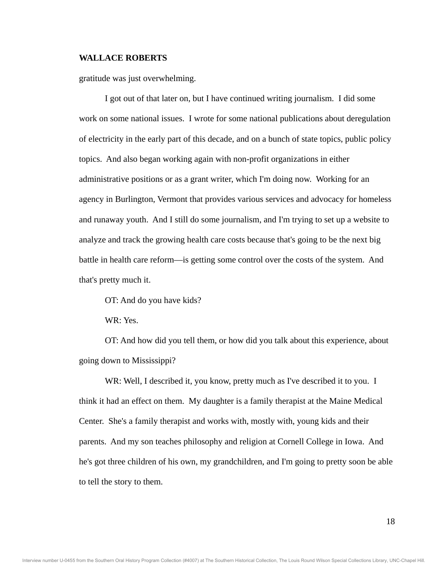gratitude was just overwhelming.

I got out of that later on, but I have continued writing journalism. I did some work on some national issues. I wrote for some national publications about deregulation of electricity in the early part of this decade, and on a bunch of state topics, public policy topics. And also began working again with non-profit organizations in either administrative positions or as a grant writer, which I'm doing now. Working for an agency in Burlington, Vermont that provides various services and advocacy for homeless and runaway youth. And I still do some journalism, and I'm trying to set up a website to analyze and track the growing health care costs because that's going to be the next big battle in health care reform—is getting some control over the costs of the system. And that's pretty much it.

OT: And do you have kids?

WR: Yes.

 OT: And how did you tell them, or how did you talk about this experience, about going down to Mississippi?

WR: Well, I described it, you know, pretty much as I've described it to you. I think it had an effect on them. My daughter is a family therapist at the Maine Medical Center. She's a family therapist and works with, mostly with, young kids and their parents. And my son teaches philosophy and religion at Cornell College in Iowa. And he's got three children of his own, my grandchildren, and I'm going to pretty soon be able to tell the story to them.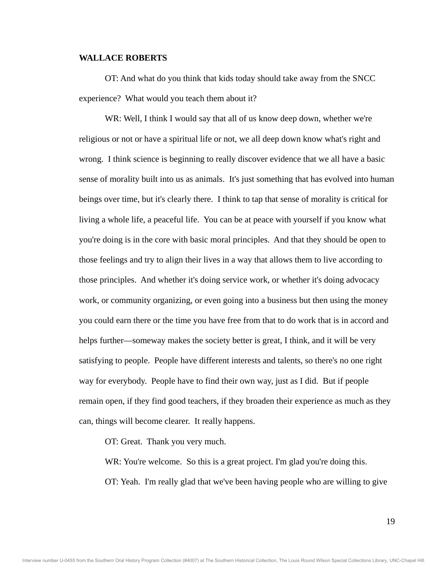OT: And what do you think that kids today should take away from the SNCC experience? What would you teach them about it?

WR: Well, I think I would say that all of us know deep down, whether we're religious or not or have a spiritual life or not, we all deep down know what's right and wrong. I think science is beginning to really discover evidence that we all have a basic sense of morality built into us as animals. It's just something that has evolved into human beings over time, but it's clearly there. I think to tap that sense of morality is critical for living a whole life, a peaceful life. You can be at peace with yourself if you know what you're doing is in the core with basic moral principles. And that they should be open to those feelings and try to align their lives in a way that allows them to live according to those principles. And whether it's doing service work, or whether it's doing advocacy work, or community organizing, or even going into a business but then using the money you could earn there or the time you have free from that to do work that is in accord and helps further—someway makes the society better is great, I think, and it will be very satisfying to people. People have different interests and talents, so there's no one right way for everybody. People have to find their own way, just as I did. But if people remain open, if they find good teachers, if they broaden their experience as much as they can, things will become clearer. It really happens.

OT: Great. Thank you very much.

WR: You're welcome. So this is a great project. I'm glad you're doing this.

OT: Yeah. I'm really glad that we've been having people who are willing to give